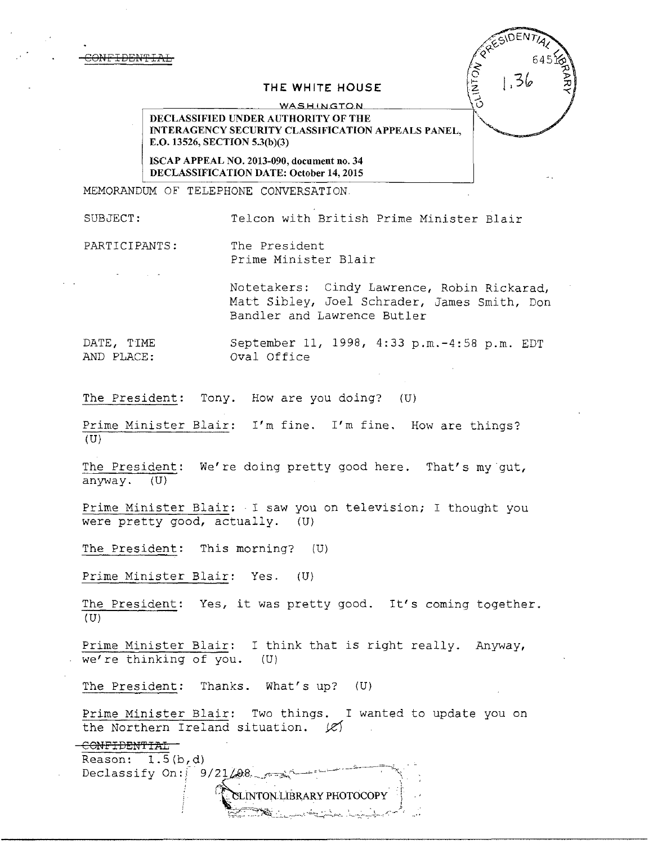CONFIDENT

# **THE WHITE HOUSE**

WASHINGTON

DECLASSIFIED UNDER AUTHORITY OF THE INTERAGENCY SECURITY CLASSIFICATION APPEALS PANEL, E.O. 13526, SECTION 5.3(b)(3)

ISCAP APPEAL NO. 2013-090, document no. 34 DECLASSIFICATION DATE: October 14, 2015

MEMORANDUM OF TELEPHONE CONVERSATION

SUBJECT: Telcon with British Prime Minister Blair

**ACINICA** 

PARTICIPANTS: The President Prime Minister Blair

> Notetakers: Cindy Lawrence, Robin Rickarad, Matt Sibley, Joel Schrader, James Smith, Don Bandler and Lawrence Butler

DATE, TIME September 11, 1998, 4:33 p.m.-4:58 p.m. EDT AND PLACE: oval Office

The President: Tony. How are you doing? (U)

Prime Minister Blair: I'm fine. I'm fine. How are things?  $(U)$ 

The President: We're doing pretty good here. That's my gut, anyway. (U}

Prime Minister Blair: I saw you on television; I thought you were pretty good, actually. (U)

The President: This morning? (U)

Prime Minister Blair: Yes. (U)

The President: Yes, it was pretty good. It's coming together.  $(U)$ 

Prime Minister Blair: I think that is right really. Anyway, we're thinking of you. (U)

The President: Thanks. What's up? (U)

Prime Minister Blair: Two things. I wanted to update you on the Northern Ireland situation.  $|e\rangle$ 

CONFIDENTIAL Reason:  $1.5(b,d)$ 

Declassify On:  $9 / 21 / 98$  $\overline{\phantom{a}}$ 

 $SLINTON LIBRARY PHOTOCOPY$ لا مصر المسابق المسابق المسابق المسابق المسابق المسابق المسابق المسابق المسابق المسابق المسابق المسابق المسابق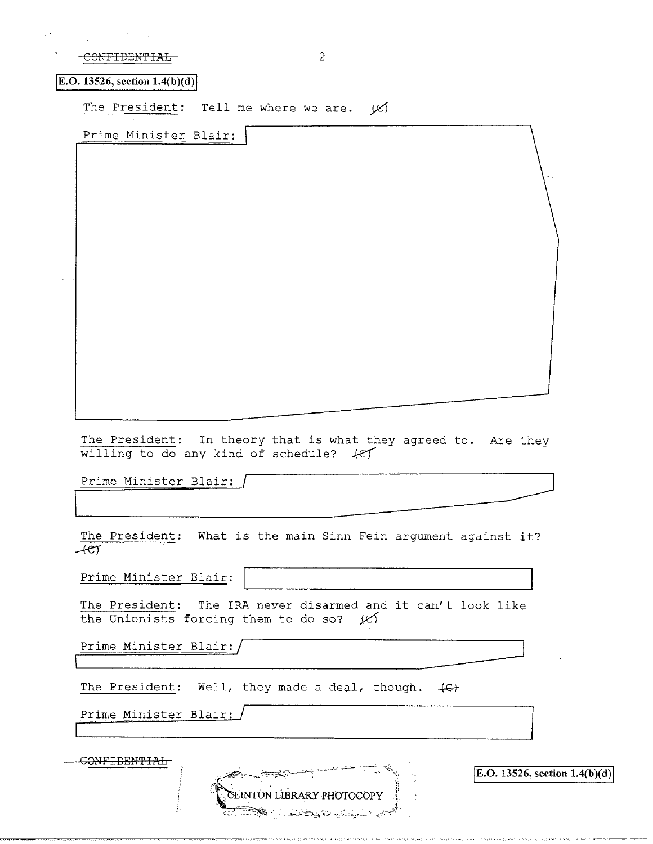| CONEIDENTIAI          |  |
|-----------------------|--|
| <u>COME IDEMITION</u> |  |

**IE.O. 13526, section 1.4(b)(d)** 

The President: Tell me where we are.  $\cancel{\varphi}$ 

Prime Minister Blair:

The President: In theory that is what they agreed to. Are they The President: In theory that is what they agreed to. Are they<br>willing to do any kind of schedule?  $\sqrt{e}$ <br>Prime Minister Blair: /

The President: What *is* the main Sinn Fein argument against it?  $+e\tau$ 

Prime Minister Blair:

The President: The IRA never disarmed and it can't look like the Unionists forcing them to do so?  $|e\rangle$ 

Prime Minister Blair: /

The President: Well, they made a deal, though.  $\leftarrow$ 

Prime Minister Blair:

**CONFIDENTIAL** CLINTON LIBRARY PHOTOCOPY

**IE.O. 13526, section 1.4(b)(d)**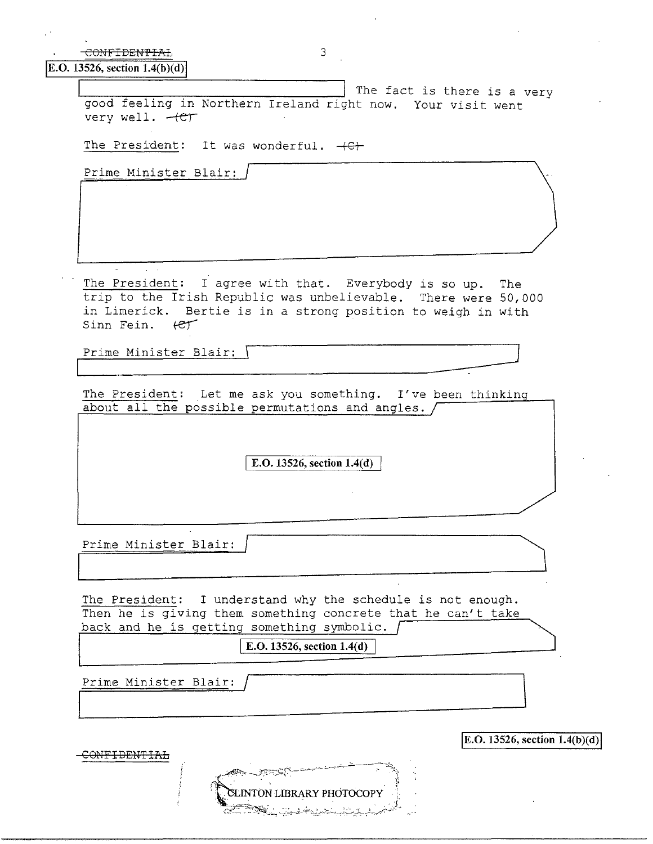| 3<br><del>-CONFIDENTIAL</del>                                                              |  |
|--------------------------------------------------------------------------------------------|--|
| <b>E.O.</b> 13526, section $1.4(b)(d)$                                                     |  |
|                                                                                            |  |
| The fact is there is a very<br>good feeling in Northern Ireland right now. Your visit went |  |
|                                                                                            |  |
|                                                                                            |  |
| The President: It was wonderful. $+C$                                                      |  |
|                                                                                            |  |
| Prime Minister Blair:                                                                      |  |
|                                                                                            |  |
|                                                                                            |  |
|                                                                                            |  |
|                                                                                            |  |
|                                                                                            |  |
|                                                                                            |  |
| The President: I agree with that. Everybody is so up. The                                  |  |
| trip to the Irish Republic was unbelievable. There were 50,000                             |  |
| in Limerick. Bertie is in a strong position to weigh in with                               |  |
| Sinn Fein. (et                                                                             |  |
|                                                                                            |  |
| Prime Minister Blair:                                                                      |  |
|                                                                                            |  |
| The President: Let me ask you something. I've been thinking                                |  |
| about all the possible permutations and angles.                                            |  |
|                                                                                            |  |
|                                                                                            |  |
|                                                                                            |  |
| E.O. 13526, section 1.4(d)                                                                 |  |
|                                                                                            |  |
|                                                                                            |  |
|                                                                                            |  |
|                                                                                            |  |
| Prime Minister Blair:                                                                      |  |
|                                                                                            |  |
|                                                                                            |  |
| The President: I understand why the schedule is not enough.                                |  |
| Then he is giving them something concrete that he can't take                               |  |
| back and he is getting something symbolic.                                                 |  |
|                                                                                            |  |
| E.O. 13526, section 1.4(d)                                                                 |  |
|                                                                                            |  |
| Prime Minister Blair:                                                                      |  |
|                                                                                            |  |
|                                                                                            |  |
|                                                                                            |  |
|                                                                                            |  |
| E.O. 13526, section $1.4(b)(d)$                                                            |  |
|                                                                                            |  |
|                                                                                            |  |
| CLINTON LIBRARY PHOTOCOPY                                                                  |  |

 $\bar{\mathcal{A}}$ 

 $\sim 10$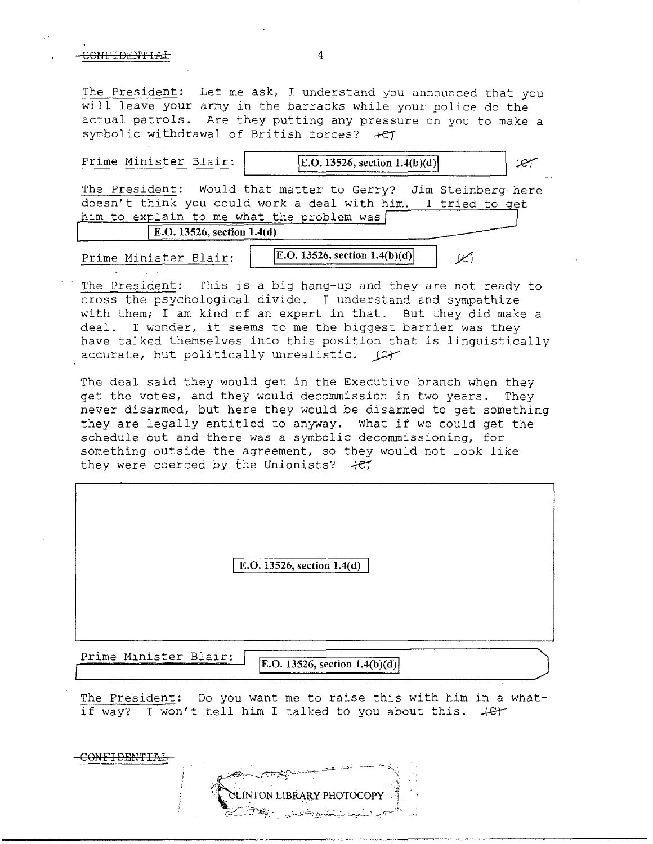#### CONFIDENTIAL 4

The President: Let me ask, I understand you announced that you will leave your army in the barracks while your police do the actual patrols. Are they putting any pressure on you to make a symbolic withdrawal of British forces?  $+CT$ 

| Prime Minister Blair:                     | <b>E.O.</b> 13526, section $1.4(b)(d)$<br>$(\mathscr{C})$                                                                     |
|-------------------------------------------|-------------------------------------------------------------------------------------------------------------------------------|
| him to explain to me what the problem was | The President: Would that matter to Gerry? Jim Steinberg here<br>doesn't think you could work a deal with him. I tried to get |
| E.O. 13526, section $1.4(d)$              |                                                                                                                               |
| Prime Minister Blair:                     | <b>E.O.</b> 13526, section $1.4(b)(d)$                                                                                        |

The President: This is a big hang-up and they are not ready to cross the psychological divide. I understand and sympathize with them; I am kind of an expert in that. But they did make a deal. I wonder, it seems to me the biggest barrier was they have talked themselves into this position that is linguistically accurate, but politically unrealistic.  $\Box$ 

The deal said they would get in the Executive branch when they get the votes, and they would decommission in two years. They never disarmed, but here they would be disarmed to get something they are legally entitled to anyway. What *if* we could get the schedule out and there was a symbolic decommissioning, for something outside the agreement, so they would not look like they were coerced by the Unionists?  $+CT$ 

E.O. 13526, section  $1.4(d)$ 

Prime Minister Blair:

E.O. 13526, section  $1.4(b)(d)$ 

The President: Do you want me to *raise* this with him in a whatif way? I won't tell him I talked to you about this.  $\sqrt{e^2}$ 

C<del>ONFIDENTI</del>



 $~\cdot$  . The set of  $\mathbb{R}^n$  is the set of  $\mathbb{R}^n$  ,  $\mathbb{R}^n$  ,  $\mathbb{R}^n$ 'ON LIBRARY PHOTOCOPY ·.;-'.:'\_~ ·---~-:.7'--<:-;:~-,:-,·,~;:\_.~~,....,.-;"--<-L""\_~'-.-::~\_,. r.~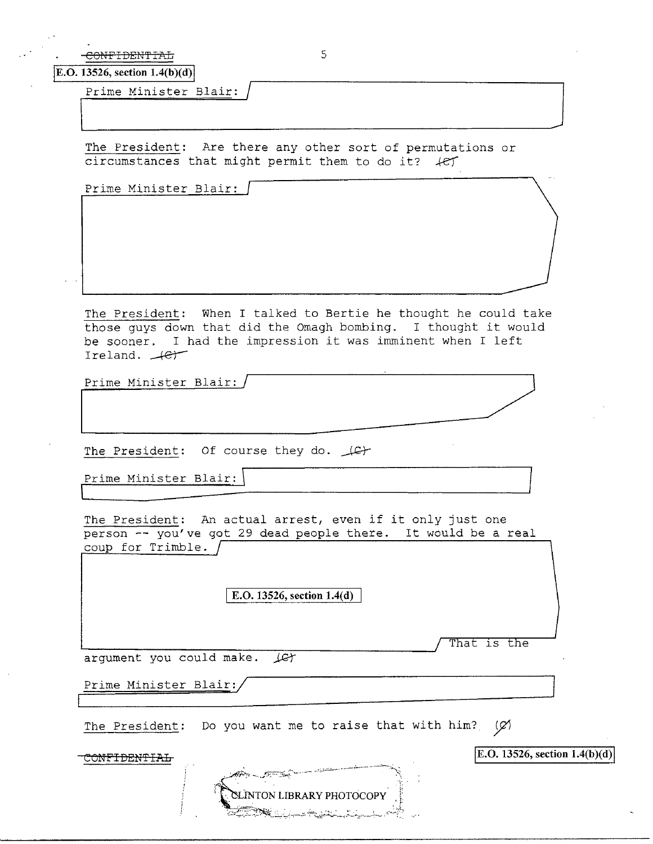-CONFIDENTIAL 5

E.O. 13526, section 1.4(b)(d)

Prime Minister Blair: / J \~~~~~~~~~

The President: Are there any other sort of permutations or circumstances that might permit them to do it? *ke)* 

Prime Minister Blair:

The President: When I talked to Bertie he thought he could take those guys down that did the Omagh bombing. I thought it would be sooner. I had the impression it was imminent when I left Ireland.  $\leftarrow$ Prime Minister Blair: / ~

Prime Minister Blair: /<br>Prime Minister Blair: /<br>2006 - Minister Blair: /<br>2006 - Minister Blair: /

The President: Of course they do.  $\bot$ G+

Prime Minister Blair:  $\overline{\Box}$ 

The President: An actual arrest, even if it only just one person -- you've got 29 dead people there. It would be a real coup for  $Trimble.$   $\sqrt{ }$ 

E.O. 13526, section 1.4(d)

That is the

argument you could make.  $\text{Ler}$ 

Prime Minister Blair:/

The President: Do you want me to raise that with him? (Ø)

CONFIDENTIAL

**jE.O. 13526, section 1.4(b )(d) I**

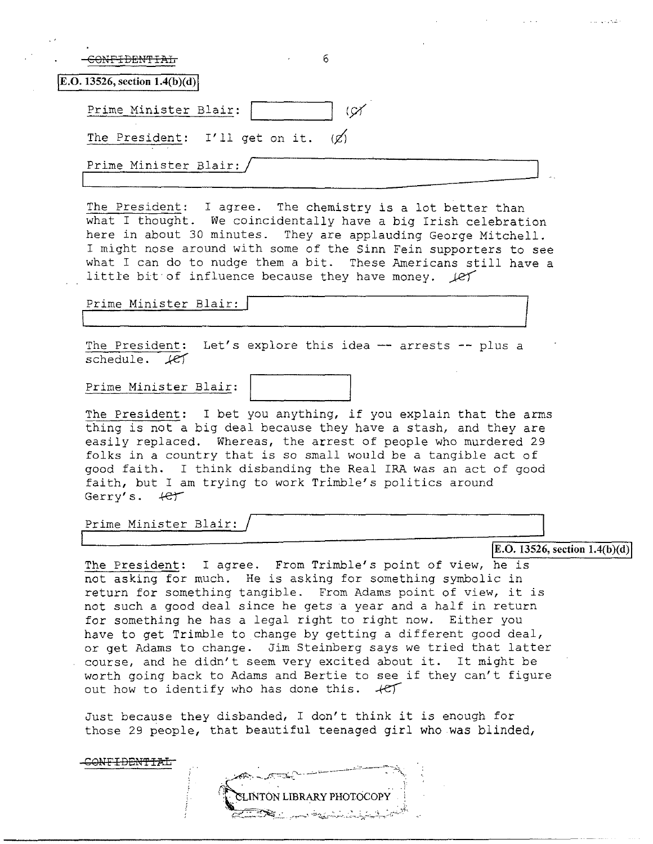|                                          | -6<br>the control of the control of                                                                                                                                                                                                                                                                                                   |  |
|------------------------------------------|---------------------------------------------------------------------------------------------------------------------------------------------------------------------------------------------------------------------------------------------------------------------------------------------------------------------------------------|--|
| $\mathbf{E.O.}$ 13526, section 1.4(b)(d) |                                                                                                                                                                                                                                                                                                                                       |  |
| Prime Minister Blair:                    |                                                                                                                                                                                                                                                                                                                                       |  |
| The President: I'll get on it.           |                                                                                                                                                                                                                                                                                                                                       |  |
| Prime Minister Blair:                    |                                                                                                                                                                                                                                                                                                                                       |  |
|                                          | The President: I agree. The chemistry is a lot better than<br>what I thought. We coincidentally have a big Irish celebration<br>here in about 30 minutes. They are applauding George Mitchell.<br>I might nose around with some of the Sinn Fein supporters to see<br>what I can do to nudge them a bit. These Americans still have a |  |

Prime Minister Blair: I<br>1

The President: Let's explore this *idea* -- arrests -- plus a  $s$ chedule.  $\text{ker}$ 

little bit of influence because they have money.  $\angle$ *ef* 

Prime Minister Blair:

The President: I bet you anything, if you explain that the arms thing is not a big deal because they have a stash, and they are easily replaced. Whereas, the arrest of people who murdered 29 folks in a country that is so small would be a tangible act of good faith. I think disbanding the Real IRA was an act of good faith, but I am trying to work Trimble's politics around Gerry's.  $+e^+$ 

Prime Minister Blair:

**I**<br>**I**E.O. 13526, section 1.4(b)(d) **I** 

The President: I agree. From Trimble's point of view, he is not asking for much. He is asking for something symbolic in return for something tangible. From Adams point of view, it is not such a good deal since he gets a year and a half in return for something he has a legal right to right now. Either you have to get Trimble to change by getting a different good deal, or get Adams to change. Jim Steinberg says we tried that latter course, and he didn't seem very excited about it. It might be worth going back to Adams and Bertie to see if they can't figure out how to identify who has done this.  $+e^+$ 

Just because they disbanded, I don't think it *is* enough for those 29 people, that beautiful teenaged girl who was blinded,

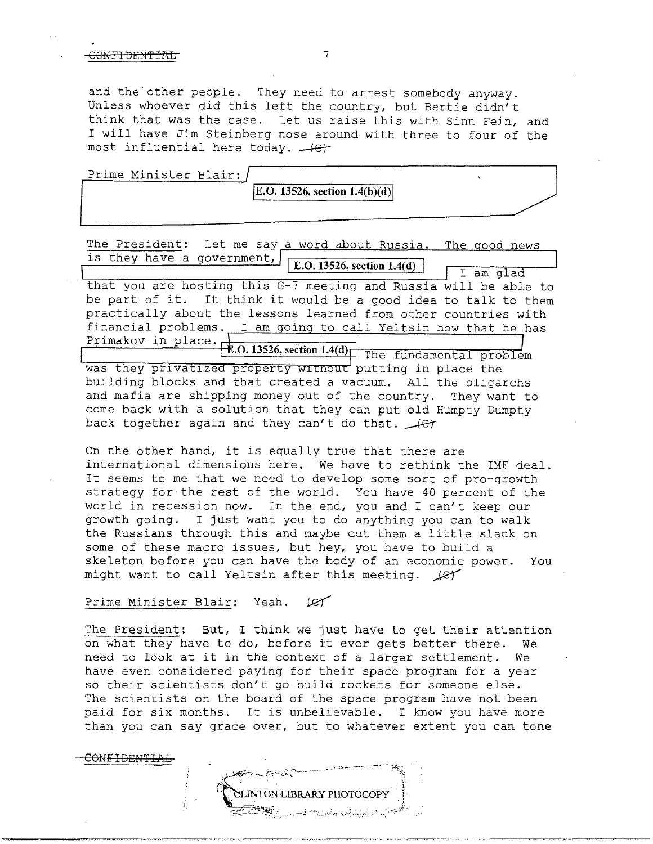#### ONFIDENTIAL 7

and the other people. They need to arrest somebody anyway. Unless whoever did this left the country, but Bertie didn't think that was the case. Let us raise this with Sinn Fein, and I will have Jim Steinberg nose around with three to four of the most influential here today.  $-(-\epsilon)^2$ 

Prime Minister Blair:

 $|E.O. 13526$ , section  $1.4(b)(d)|$ 

The President: Let me say a word about Russia. The good news is they have a government,  $E.D. 13526$ , section 1.4(d) .,-+~~~~~~~~---, Primakov in place --=-~~~-,-~~~~~-,-..,--' The fundamental problem that you are hosting this G-7 meeting and Russia will be able to be part of it. It think it would be a good idea to talk to them practically about the lessons learned from other countries with financial problems. I am going to call Yeltsin now that he has was they privatized property without putting in place the building blocks and that created a vacuum. All the oligarchs and mafia are shipping money out of the country. They want to come back with a solution that they can put old Humpty Dumpty back together again and they can't do that.  $\sqrt{ct}$ I am glad

On the other hand, it is equally true that there are international dimensions here. We have to rethink the IMF deal. It seems to me that we need to develop some sort of pro-growth strategy for the rest of the world. You have 40 percent of the world in recession now. In the end, you and I can't keep our growth going. I just want you to do anything you can to walk the Russians through this and maybe cut them a little slack on some of these macro issues, but hey, you have to build a skeleton before you can have the body of an economic power. You might want to call Yeltsin after this meeting.  $\mathcal{L}$ 

## Prime Minister Blair: Yeah. 127

The President: But, I think we just have to get their attention on what they have to do, before it ever gets better there. We need to look at it in the context of a larger settlement. We have even considered paying for their space program for a year so their scientists don't go build rockets for someone else. The scientists on the board of the space program have not been paid for six months. It is unbelievable. I know you have more than you can say grace over, but to whatever extent you can tone

NTON LIBRARY PHOTOCOPY

CONF<del>IDENTIAL</del>

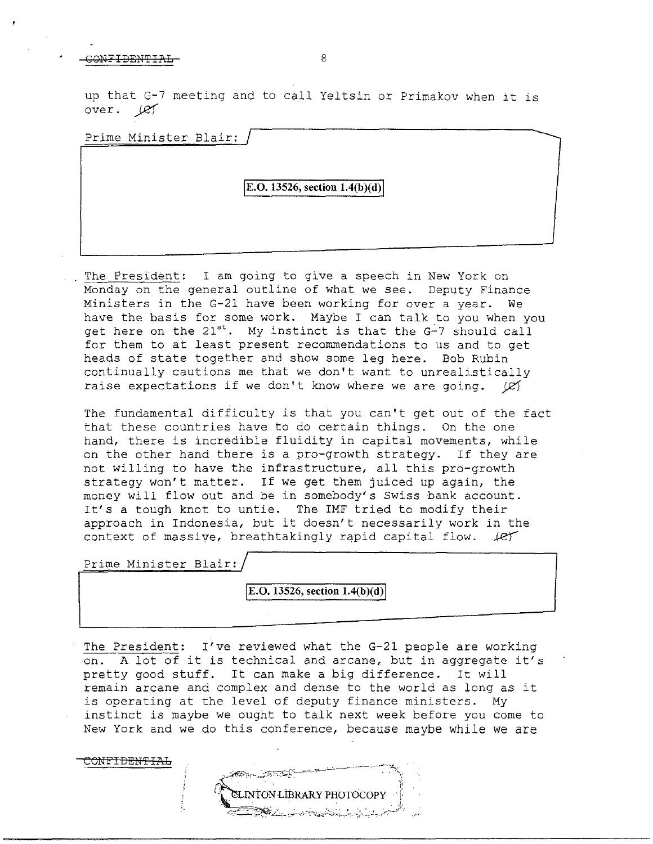## CONFIDENTIAL 8

up that G-7 meeting and to call Yeltsin or Primakov when it is over. let

Prime Minister Blair:

**E.O. 13526, section 1.4(b)(d)** 

The President: I am going to give a speech in New York on Monday on the general outline of what we see. Deputy Finance Ministers in the G-21 have been working for over a year. We have the basis for some work. Maybe I can talk to you when you get here on the  $21^{st}$ . My instinct is that the  $G-7$  should call for them to at least present recommendations to us and to get heads of state together and show some leg here. Bob Rubin continually cautions me that we don't want to unrealistically raise expectations if we don't know where we are going. ( $\varnothing$ )

The fundamental difficulty is that you can't get out of the fact that these countries have to do certain things. On the one hand, there is incredible fluidity in capital movements, while on the other hand there is a pro-growth strategy. If they are not willing to have the infrastructure, all this pro-growth strategy won't matter. If we get them juiced up again, the money will flow out and be in somebody's Swiss bank account. It's a tough knot to untie. The IMF tried to modify their approach in Indonesia, but it doesn't necessarily work in the context of massive, breathtakingly rapid capital flow.  $\ell$ e $\gamma$ 

Prime Minister Blair:

CONE'IDEN'FIAL

**IE.O. 13526, section 1.4(b)(d)** 

The President: I've reviewed what the G-21 people are working on. A lot of it is technical and arcane, but in aggregate it's pretty good stuff. It can make a big difference. It will remain arcane and complex and dense to the world as long as it is operating at the level of deputy finance ministers. My instinct is maybe we ought to talk next week before you come to New York and we do this conference, because maybe while we are